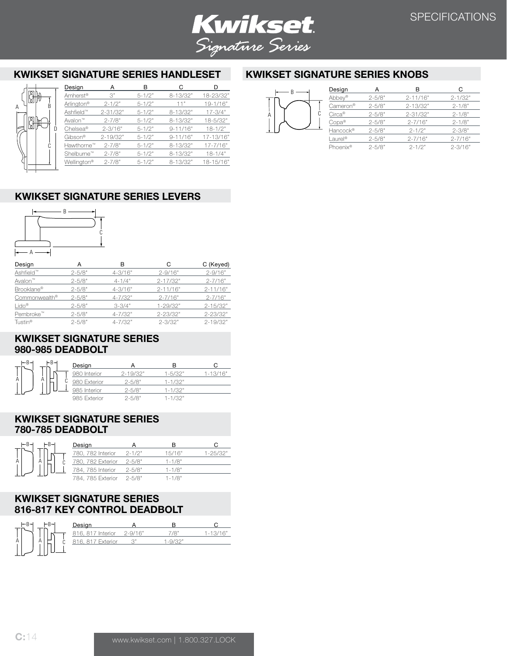

# **KWIKSET SIGNATURE SERIES HANDLESET**

|   |                     | Design                  | А            | R            |              |              |
|---|---------------------|-------------------------|--------------|--------------|--------------|--------------|
|   |                     | Amherst <sup>®</sup>    | 3"           | $5 - 1/2"$   | 8-13/32"     | 18-23/32"    |
|   | R                   | Arlington <sup>®</sup>  | $2 - 1/2"$   | $5 - 1/2"$   | 11"          | 19-1/16"     |
|   |                     | Ashfield <sup>™</sup>   | $2 - 31/32"$ | $5 - 1/2"$   | $8 - 13/32"$ | $17 - 3/4"$  |
|   | Avalon <sup>™</sup> | $2 - 7/8"$              | $5 - 1/2"$   | $8 - 13/32"$ | 18-5/32"     |              |
| ŏ | D                   | Chelsea®                | $2 - 3/16"$  | $5 - 1/2"$   | $9 - 11/16"$ | $18 - 1/2"$  |
|   |                     | Gibson®                 | $2 - 19/32"$ | $5 - 1/2"$   | $9 - 11/16"$ | 17-13/16"    |
|   | C                   | Hawthorne™              | $2 - 7/8"$   | $5 - 1/2"$   | $8 - 13/32"$ | $17 - 7/16"$ |
|   | Shelburne™          | $2 - 7/8"$              | $5 - 1/2"$   | $8 - 13/32"$ | $18 - 1/4"$  |              |
|   |                     | Wellington <sup>®</sup> | $2 - 7/8"$   | $5 - 1/2"$   | 8-13/32"     | 18-15/16"    |
|   |                     |                         |              |              |              |              |

## **KWIKSET SIGNATURE SERIES LEVERS**



A

| Design                | А          | в           | C            | C (Keyed)    |
|-----------------------|------------|-------------|--------------|--------------|
| Ashfield <sup>™</sup> | $2 - 5/8"$ | $4 - 3/16"$ | $2 - 9/16"$  | $2 - 9/16"$  |
| Avalon™               | $2 - 5/8"$ | $4 - 1/4"$  | $2 - 17/32"$ | $2 - 7/16"$  |
| Brooklane®            | $2 - 5/8"$ | $4 - 3/16"$ | $2 - 11/16"$ | $2 - 11/16"$ |
| Commonwealth®         | $2 - 5/8"$ | $4 - 7/32"$ | $2 - 7/16"$  | $2 - 7/16"$  |
| $Lido^{\circledR}$    | $2 - 5/8"$ | $3 - 3/4"$  | 1-29/32"     | $2 - 15/32"$ |
| Pembroke™             | $2 - 5/8"$ | $4 - 7/32"$ | $2 - 23/32"$ | $2 - 23/32"$ |
| Tustin <sup>®</sup>   | $2 - 5/8"$ | $4 - 7/32"$ | $2 - 3/32"$  | $2 - 19/32"$ |

### **KWIKSET SIGNATURE SERIES 980-985 DEADBOLT**

| $-B^{-1}$ | l–B– | Design       |              |             |               |
|-----------|------|--------------|--------------|-------------|---------------|
|           |      | 980 Interior | $2 - 19/32"$ | 1-5/32"     | $1 - 1.3/16"$ |
| Α         | A    | 980 Exterior | $2 - 5/8"$   | 1-1/32"     |               |
|           |      | 985 Interior | $2 - 5/8"$   | 1-1/32"     |               |
|           |      | 985 Exterior | $2 - 5/8"$   | $1 - 1/32"$ |               |

### **KWIKSET SIGNATURE SERIES 780-785 DEADBOLT**



### **KWIKSET SIGNATURE SERIES 816-817 KEY CONTROL DEADBOLT**

| $-B^{-1}$ | ⊢в–    | Design                |             |        |    |
|-----------|--------|-----------------------|-------------|--------|----|
|           |        | 816, 817 Interior     | $2 - 9/16"$ | יפו י  | n. |
| А         | А<br>u | , 817 Exterior<br>816 |             | -0/32" |    |
|           |        |                       |             |        |    |

# **KWIKSET SIGNATURE SERIES KNOBS**



|  | Design               |            | R            | C           |
|--|----------------------|------------|--------------|-------------|
|  | Abbey <sup>®</sup>   | $2 - 5/8"$ | $2 - 11/16"$ | $2 - 1/32"$ |
|  | Cameron <sup>®</sup> | $2 - 5/8"$ | $2 - 13/32"$ | $2 - 1/8"$  |
|  | $Circa^{\circledR}$  | $2 - 5/8"$ | $2 - 31/32"$ | $2 - 1/8"$  |
|  | $Copa^{\circledR}$   | $2 - 5/8"$ | $2 - 7/16"$  | $2 - 1/8"$  |
|  | Hancock®             | $2 - 5/8"$ | $2 - 1/2"$   | $2 - 3/8"$  |
|  | Laurel <sup>®</sup>  | $2 - 5/8"$ | $2 - 7/16"$  | $2 - 7/16"$ |
|  | Phoenix <sup>®</sup> | $2 - 5/8"$ | $2 - 1/2"$   | $2 - 3/16"$ |